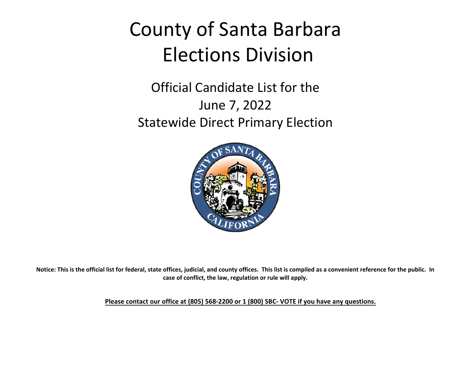## County of Santa Barbara Elections Division

### Official Candidate List for the June 7, 2022 Statewide Direct Primary Election



**Notice: This is the official list for federal, state offices, judicial, and county offices. This list is compiled as a convenient reference for the public. In case of conflict, the law, regulation or rule will apply.**

**Please contact our office at (805) 568-2200 or 1 (800) SBC- VOTE if you have any questions.**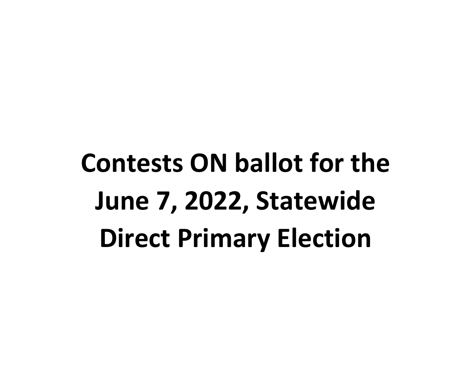# **Contests ON ballot for the June 7, 2022, Statewide Direct Primary Election**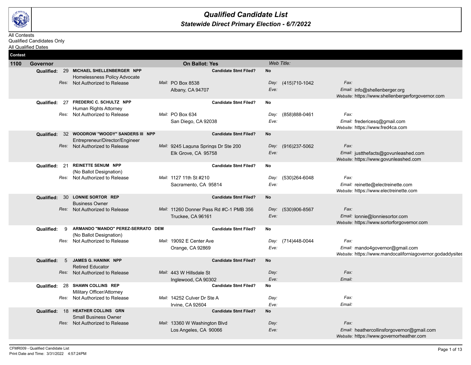

#### *Statewide Direct Primary Election - 6/7/2022 Qualified Candidate List*

#### All Contests Qualified Candidates Only

| All Qualified Dates | <u>Juanneu Canuluales Only</u> |                                                                                                                   |                                                                                              |                                         |                                                                                                      |
|---------------------|--------------------------------|-------------------------------------------------------------------------------------------------------------------|----------------------------------------------------------------------------------------------|-----------------------------------------|------------------------------------------------------------------------------------------------------|
| Contest             |                                |                                                                                                                   |                                                                                              |                                         |                                                                                                      |
| 1100                | Governor                       |                                                                                                                   | <b>On Ballot: Yes</b>                                                                        | Web Title:                              |                                                                                                      |
|                     | <b>Qualified:</b>              | 29 MICHAEL SHELLENBERGER NPP<br>Homelessness Policy Advocate<br>Res: Not Authorized to Release                    | <b>Candidate Stmt Filed?</b><br>Mail: PO Box 8538<br>Albany, CA 94707                        | <b>No</b><br>Day: (415)710-1042<br>Eve: | Fax:<br>Email: info@shellenberger.org<br>Website: https://www.shellenbergerforgovernor.com           |
|                     | Qualified:                     | 27 FREDERIC C. SCHULTZ NPP<br>Human Rights Attorney<br>Res: Not Authorized to Release                             | <b>Candidate Stmt Filed?</b><br>Mail: PO Box 634<br>San Diego, CA 92038                      | No<br>Day: (858)888-0461<br>Eve:        | Fax:<br>Email: fredericesq@gmail.com<br>Website: https://www.fred4ca.com                             |
|                     |                                | Qualified: 32 WOODROW "WOODY" SANDERS III NPP<br>Entrepreneur/Director/Engineer<br>Res: Not Authorized to Release | <b>Candidate Stmt Filed?</b><br>Mail: 9245 Laguna Springs Dr Ste 200<br>Elk Grove, CA 95758  | <b>No</b><br>Day: (916)237-5062<br>Eve: | Fax:<br>Email: justthefacts@govunleashed.com<br>Website: https://www.govunleashed.com                |
|                     | 21<br>Qualified:               | <b>REINETTE SENUM NPP</b><br>(No Ballot Designation)<br>Res: Not Authorized to Release                            | <b>Candidate Stmt Filed?</b><br>Mail: 1127 11th St #210<br>Sacramento, CA 95814              | No<br>(530)264-6048<br>Day:<br>Eve:     | Fax:<br>Email: reinette@electreinette.com<br>Website: https://www.electreinette.com                  |
|                     |                                | Qualified: 30 LONNIE SORTOR REP<br><b>Business Owner</b><br>Res: Not Authorized to Release                        | <b>Candidate Stmt Filed?</b><br>Mail: 11260 Donner Pass Rd #C-1 PMB 356<br>Truckee, CA 96161 | <b>No</b><br>Day: (530)906-8567<br>Eve: | Fax:<br>Email: lonnie@lonniesortor.com<br>Website: https://www.sortorforgovernor.com                 |
|                     | 9<br>Qualified:                | ARMANDO "MANDO" PEREZ-SERRATO DEM<br>(No Ballot Designation)<br>Res: Not Authorized to Release                    | <b>Candidate Stmt Filed?</b><br>Mail: 19092 E Center Ave<br>Orange, CA 92869                 | No<br>(714)448-0044<br>Day:<br>Eve:     | Fax:<br>Email: mando4governor@gmail.com<br>Website: https://www.mandocaliforniagovernor.godaddysites |
|                     | Qualified:<br>$5^{\circ}$      | <b>JAMES G. HANINK NPP</b><br><b>Retired Educator</b><br>Res: Not Authorized to Release                           | <b>Candidate Stmt Filed?</b><br>Mail: 443 W Hillsdale St<br>Inglewood, CA 90302              | <b>No</b><br>Day:<br>Eve:               | Fax:<br>Email:                                                                                       |
|                     | Qualified:                     | 28 SHAWN COLLINS REP<br>Military Officer/Attorney                                                                 | <b>Candidate Stmt Filed?</b>                                                                 | No                                      |                                                                                                      |

*Day: Eve:*

*Day: Eve:*

*Fax: Email:*

*Fax:*

*Email:* heathercollinsforgovernor@gmail.com *Website:* https://www.governorheather.com

*Res:* Not Authorized to Release *Mail:* 14252 Culver Dr Ste A

*Res:* Not Authorized to Release *Mail:* 13360 W Washington Blvd

Small Business Owner

**Qualified:** 18 **HEATHER COLLINS GRN Candidate Stmt Filed? No**

Irvine, CA 92604

Los Angeles, CA 90066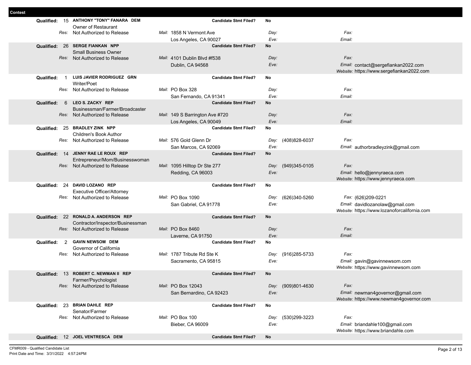| տւաս | Qualified: |     | 15 ANTHONY "TONY" FANARA DEM                                          |                                 | <b>Candidate Stmt Filed?</b> | No        |                    |                                                                                  |  |
|------|------------|-----|-----------------------------------------------------------------------|---------------------------------|------------------------------|-----------|--------------------|----------------------------------------------------------------------------------|--|
|      |            |     | Owner of Restaurant                                                   |                                 |                              |           |                    |                                                                                  |  |
|      |            |     | Res: Not Authorized to Release                                        | Mail: 1858 N Vermont Ave        |                              | Day:      |                    | Fax:                                                                             |  |
|      |            |     |                                                                       | Los Angeles, CA 90027           |                              | Eve:      |                    | Email:                                                                           |  |
|      |            |     | Qualified: 26 SERGE FIANKAN NPP<br><b>Small Business Owner</b>        |                                 | <b>Candidate Stmt Filed?</b> | No        |                    |                                                                                  |  |
|      |            |     | Res: Not Authorized to Release                                        | Mail: 4101 Dublin Blvd #f538    |                              | Day:      |                    | Fax:                                                                             |  |
|      |            |     |                                                                       | Dublin, CA 94568                |                              | Eve:      |                    | Email: contact@sergefiankan2022.com<br>Website: https://www.sergefiankan2022.com |  |
|      | Qualified: | - 1 | LUIS JAVIER RODRIGUEZ GRN<br>Writer/Poet                              |                                 | <b>Candidate Stmt Filed?</b> | No        |                    |                                                                                  |  |
|      |            |     | Res: Not Authorized to Release                                        | Mail: PO Box 328                |                              | Day:      |                    | Fax:                                                                             |  |
|      |            |     |                                                                       | San Fernando, CA 91341          |                              | Eve:      |                    | Email:                                                                           |  |
|      | Qualified: | 6   | LEO S. ZACKY REP                                                      |                                 | <b>Candidate Stmt Filed?</b> | <b>No</b> |                    |                                                                                  |  |
|      |            |     | Businessman/Farmer/Broadcaster                                        |                                 |                              |           |                    |                                                                                  |  |
|      |            |     | Res: Not Authorized to Release                                        | Mail: 149 S Barrington Ave #720 |                              | Day:      |                    | Fax:                                                                             |  |
|      |            |     |                                                                       | Los Angeles, CA 90049           |                              | Eve:      |                    | Email:                                                                           |  |
|      |            |     | Qualified: 25 BRADLEY ZINK NPP<br><b>Children's Book Author</b>       |                                 | <b>Candidate Stmt Filed?</b> | No        |                    |                                                                                  |  |
|      |            |     | Res: Not Authorized to Release                                        | Mail: 576 Gold Glenn Dr         |                              |           | Day: (408)828-6037 | Fax:                                                                             |  |
|      |            |     |                                                                       | San Marcos, CA 92069            |                              | Eve:      |                    | Email: authorbradleyzink@gmail.com                                               |  |
|      |            |     | Qualified: 14 JENNY RAE LE ROUX REP<br>Entrepreneur/Mom/Businesswoman |                                 | <b>Candidate Stmt Filed?</b> | No        |                    |                                                                                  |  |
|      |            |     | Res: Not Authorized to Release                                        | Mail: 1095 Hilltop Dr Ste 277   |                              |           | Day: (949)345-0105 | Fax:                                                                             |  |
|      |            |     |                                                                       | Redding, CA 96003               |                              | Eve:      |                    | Email: hello@jennyraeca.com                                                      |  |
|      |            |     |                                                                       |                                 |                              |           |                    | Website: https://www.jennyraeca.com                                              |  |
|      | Qualified: |     | 24 DAVID LOZANO REP                                                   |                                 | <b>Candidate Stmt Filed?</b> | No        |                    |                                                                                  |  |
|      |            |     | Executive Officer/Attorney                                            |                                 |                              |           |                    |                                                                                  |  |
|      |            |     | Res: Not Authorized to Release                                        | Mail: PO Box 1090               |                              |           | Day: (626)340-5260 | Fax: (626)209-0221                                                               |  |
|      |            |     |                                                                       | San Gabriel, CA 91778           |                              | Eve:      |                    | Email: davidlozanolaw@gmail.com<br>Website: https://www.lozanoforcalifornia.com  |  |
|      |            |     | Qualified: 22 RONALD A. ANDERSON REP                                  |                                 | <b>Candidate Stmt Filed?</b> | No        |                    |                                                                                  |  |
|      |            |     | Contractor/Inspector/Businessman                                      |                                 |                              |           |                    |                                                                                  |  |
|      |            |     | Res: Not Authorized to Release                                        | Mail: PO Box 8460               |                              | Day:      |                    | Fax:                                                                             |  |
|      |            |     |                                                                       | Laverne, CA 91750               |                              | Eve:      |                    | Email:                                                                           |  |
|      | Qualified: | 2   | <b>GAVIN NEWSOM DEM</b>                                               |                                 | <b>Candidate Stmt Filed?</b> | No        |                    |                                                                                  |  |
|      |            |     | Governor of California                                                |                                 |                              |           |                    |                                                                                  |  |
|      |            |     | Res: Not Authorized to Release                                        | Mail: 1787 Tribute Rd Ste K     |                              |           | Day: (916)285-5733 | Fax:                                                                             |  |
|      |            |     |                                                                       | Sacramento, CA 95815            |                              | Eve:      |                    | Email: gavin@gavinnewsom.com                                                     |  |
|      |            |     |                                                                       |                                 |                              |           |                    | Website: https://www.gavinnewsom.com                                             |  |
|      | Qualified: |     | 13 ROBERT C. NEWMAN II REP<br>Farmer/Psychologist                     |                                 | <b>Candidate Stmt Filed?</b> | <b>No</b> |                    |                                                                                  |  |
|      |            |     | Res: Not Authorized to Release                                        | Mail: PO Box 12043              |                              |           | Day: (909)801-4630 | Fax:                                                                             |  |
|      |            |     |                                                                       | San Bernardino, CA 92423        |                              | Eve:      |                    | Email: newman4governor@gmail.com                                                 |  |
|      |            |     |                                                                       |                                 |                              |           |                    | Website: https://www.newman4governor.com                                         |  |
|      |            |     | Qualified: 23 BRIAN DAHLE REP<br>Senator/Farmer                       |                                 | <b>Candidate Stmt Filed?</b> | No        |                    |                                                                                  |  |
|      |            |     | Res: Not Authorized to Release                                        | Mail: PO Box 100                |                              | Day:      | (530)299-3223      | Fax:                                                                             |  |
|      |            |     |                                                                       | Bieber, CA 96009                |                              | Eve:      |                    | Email: briandahle100@gmail.com<br>Website: https://www.briandahle.com            |  |
|      |            |     | Qualified: 12 JOEL VENTRESCA DEM                                      |                                 | <b>Candidate Stmt Filed?</b> | No        |                    |                                                                                  |  |
|      |            |     |                                                                       |                                 |                              |           |                    |                                                                                  |  |

Г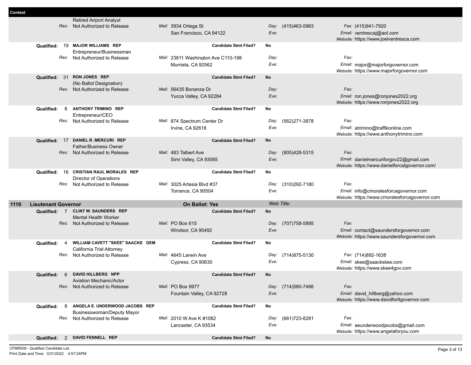|      |                            | <b>Retired Airport Analyst</b>                        |                                     |            |                    |                                                                                |
|------|----------------------------|-------------------------------------------------------|-------------------------------------|------------|--------------------|--------------------------------------------------------------------------------|
|      | Res:                       | Not Authorized to Release                             | Mail: 3934 Ortega St                |            | Day: (415)463-5963 | Fax: (415)941-7920                                                             |
|      |                            |                                                       | San Francisco, CA 94122             | Eve:       |                    | Email: ventrescaj@aol.com                                                      |
|      |                            |                                                       |                                     |            |                    | Website: https://www.joelventresca.com                                         |
|      | 19<br>Qualified:           | <b>MAJOR WILLIAMS REP</b>                             | <b>Candidate Stmt Filed?</b>        | No         |                    |                                                                                |
|      |                            | Entrepreneur/Businessman                              |                                     |            |                    |                                                                                |
|      | Res:                       | Not Authorized to Release                             | Mail: 23811 Washington Ave C110-198 | Day:       |                    | Fax:                                                                           |
|      |                            |                                                       | Murrieta, CA 92562                  | Eve:       |                    | Email: major@majorforgovernor.com                                              |
|      |                            |                                                       |                                     |            |                    | Website: https://www.majorforgovernor.com                                      |
|      | 31<br>Qualified:           | <b>RON JONES REP</b><br>(No Ballot Designation)       | <b>Candidate Stmt Filed?</b>        | No         |                    |                                                                                |
|      |                            | Res: Not Authorized to Release                        | Mail: 56435 Bonanza Dr              | Day:       |                    | Fax:                                                                           |
|      |                            |                                                       | Yucca Valley, CA 92284              | Eve:       |                    | Email: ron.jones@ronjones2022.org                                              |
|      |                            |                                                       |                                     |            |                    | Website: https://www.ronjones2022.org                                          |
|      | 8<br>Qualified:            | <b>ANTHONY TRIMINO REP</b>                            | <b>Candidate Stmt Filed?</b>        | No         |                    |                                                                                |
|      |                            | Entrepreneur/CEO                                      |                                     |            |                    |                                                                                |
|      | Res:                       | Not Authorized to Release                             | Mail: 874 Spectrum Center Dr        | Day:       | (562)271-3878      | Fax:                                                                           |
|      |                            |                                                       | Irvine, CA 92618                    | Eve:       |                    | Email: atrimino@traffikonline.com                                              |
|      |                            |                                                       |                                     |            |                    | Website: https://www.anthonytrimino.com                                        |
|      | Qualified: 17              | DANIEL R. MERCURI REP<br><b>Father/Business Owner</b> | <b>Candidate Stmt Filed?</b>        | No         |                    |                                                                                |
|      |                            | Res: Not Authorized to Release                        | Mail: 483 Talbert Ave               | Day:       | (805)428-5315      | Fax:                                                                           |
|      |                            |                                                       | Simi Valley, CA 93065               | Eve:       |                    | Email: danielmercuriforgov22@gmail.com                                         |
|      |                            |                                                       |                                     |            |                    | Website: https://www.danielforcalgovernor.com/                                 |
|      | Qualified:<br>16           | <b>CRISTIAN RAUL MORALES REP</b>                      | <b>Candidate Stmt Filed?</b>        | No         |                    |                                                                                |
|      |                            | Director of Operations                                |                                     |            |                    |                                                                                |
|      |                            |                                                       |                                     |            |                    |                                                                                |
|      | Res:                       | Not Authorized to Release                             | Mail: 3025 Artesia Blvd #37         | Day:       | (310)292-7180      | Fax:                                                                           |
|      |                            |                                                       | Torrance, CA 90504                  | Eve:       |                    | Email: info@cmoralesforcagovernor.com                                          |
|      |                            |                                                       |                                     |            |                    | Website: https://www.cmoralesforcagovernor.com                                 |
| 1110 | <b>Lieutenant Governor</b> |                                                       | <b>On Ballot: Yes</b>               | Web Title: |                    |                                                                                |
|      | Qualified: 7               | <b>CLINT W. SAUNDERS REP</b>                          | <b>Candidate Stmt Filed?</b>        | No         |                    |                                                                                |
|      |                            | <b>Mental Health Worker</b>                           |                                     |            |                    |                                                                                |
|      |                            | Res: Not Authorized to Release                        | Mail: PO Box 615                    | Day:       | (707) 758-5895     | Fax:                                                                           |
|      |                            |                                                       | Windsor, CA 95492                   | Eve:       |                    | Email: contact@saundersforgovernor.com                                         |
|      | Qualified:<br>4            | WILLIAM CAVETT "SKEE" SAACKE DEM                      | <b>Candidate Stmt Filed?</b>        | No         |                    | Website: https://www.saundersforgovernor.com                                   |
|      |                            | California Trial Attorney                             |                                     |            |                    |                                                                                |
|      | Res:                       | Not Authorized to Release                             | Mail: 4645 Larwin Ave               | Day:       | (714)875-5130      | Fax: (714)892-1638                                                             |
|      |                            |                                                       | Cypress, CA 90630                   | Eve:       |                    | Email: skee@saackelaw.com                                                      |
|      |                            |                                                       |                                     |            |                    | Website: https://www.skee4gov.com                                              |
|      | Qualified:<br>6            | DAVID HILLBERG NPP                                    | <b>Candidate Stmt Filed?</b>        | No         |                    |                                                                                |
|      |                            | Aviation Mechanic/Actor                               |                                     |            |                    |                                                                                |
|      |                            | Res: Not Authorized to Release                        | Mail: PO Box 9977                   |            | Day: (714)580-7486 | Fax:                                                                           |
|      |                            |                                                       | Fountain Valley, CA 92728           | Eve:       |                    | Email: david_hillberg@yahoo.com<br>Website: https://www.davidforltgovernor.com |
|      | 8<br>Qualified:            | ANGELA E. UNDERWOOD JACOBS REP                        | <b>Candidate Stmt Filed?</b>        | No         |                    |                                                                                |
|      |                            | Businesswoman/Deputy Mayor                            |                                     |            |                    |                                                                                |
|      |                            | Res: Not Authorized to Release                        | Mail: 2010 W Ave K #1082            |            | Day: (661)723-8281 | Fax:                                                                           |
|      |                            |                                                       | Lancaster, CA 93534                 | Eve:       |                    | Email: aeunderwoodjacobs@gmail.com                                             |
|      | Qualified:                 | 2 DAVID FENNELL REP                                   | <b>Candidate Stmt Filed?</b>        | No         |                    | Website: https://www.angelaforyou.com                                          |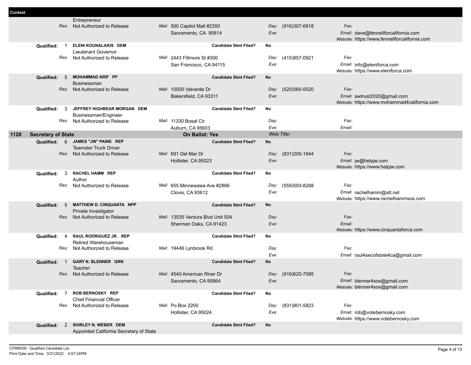|      |                           |      | Entrepreneur                                                      |                         |                                   |                              |                    |                    |                                                                      |  |
|------|---------------------------|------|-------------------------------------------------------------------|-------------------------|-----------------------------------|------------------------------|--------------------|--------------------|----------------------------------------------------------------------|--|
|      |                           |      | Res: Not Authorized to Release                                    |                         | Mail: 500 Capitol Mall #2350      |                              |                    | Day: (916)307-6918 | Fax:                                                                 |  |
|      |                           |      |                                                                   |                         | Sacramento, CA 95814              |                              | Eve:               |                    | Email: dave@fennellforcalifornia.com                                 |  |
|      |                           |      |                                                                   |                         |                                   |                              |                    |                    | Website: https://www.fennellforcalifornia.com                        |  |
|      | Qualified:                | - 1  | ELENI KOUNALAKIS DEM                                              |                         |                                   | <b>Candidate Stmt Filed?</b> | No                 |                    |                                                                      |  |
|      |                           |      | Lieutenant Governor                                               |                         |                                   |                              |                    |                    |                                                                      |  |
|      |                           |      | Res: Not Authorized to Release                                    |                         | Mail: 2443 Fillmore St #300       |                              | Day:               | (415)857-0921      | Fax:                                                                 |  |
|      |                           |      |                                                                   |                         | San Francisco, CA 94115           |                              | Eve:               |                    | Email: info@eleniforca.com                                           |  |
|      | Qualified:                | - 5  | <b>MOHAMMAD ARIF PF</b>                                           |                         |                                   | <b>Candidate Stmt Filed?</b> | No                 |                    | Website: https://www.eleniforca.com                                  |  |
|      |                           |      | <b>Businessman</b>                                                |                         |                                   |                              |                    |                    |                                                                      |  |
|      |                           |      | Res: Not Authorized to Release                                    | Mail: 10500 Valverde Dr |                                   |                              |                    | Day: (520)560-5520 | Fax:                                                                 |  |
|      |                           |      |                                                                   |                         | Bakersfield, CA 93311             |                              | Eve:               |                    | Email: awtrust2020@gmail.com                                         |  |
|      |                           |      |                                                                   |                         |                                   |                              |                    |                    | Website: https://www.mohammad4california.com                         |  |
|      | Qualified:                | 3    | JEFFREY HIGHBEAR MORGAN DEM                                       |                         |                                   | <b>Candidate Stmt Filed?</b> | No                 |                    |                                                                      |  |
|      |                           |      | Businessman/Engineer                                              |                         |                                   |                              |                    |                    |                                                                      |  |
|      |                           |      | Res: Not Authorized to Release                                    | Mail: 11330 Bosal Cir   |                                   |                              | Day:               |                    | Fax:                                                                 |  |
|      |                           |      |                                                                   |                         | Auburn, CA 95603                  |                              | Eve:<br>Web Title: |                    | Email:                                                               |  |
| 1120 | <b>Secretary of State</b> |      |                                                                   |                         | <b>On Ballot: Yes</b>             |                              |                    |                    |                                                                      |  |
|      |                           |      | Qualified: 6 JAMES "JW" PAINE REP<br><b>Teamster Truck Driver</b> |                         |                                   | <b>Candidate Stmt Filed?</b> | No                 |                    |                                                                      |  |
|      |                           |      | Res: Not Authorized to Release                                    | Mail: 691 Del Mar Dr    |                                   |                              | Day:               | (831) 205-1844     | Fax:                                                                 |  |
|      |                           |      |                                                                   |                         | Hollister, CA 95023               |                              | Eve:               |                    | Email: jw@helpjw.com                                                 |  |
|      |                           |      |                                                                   |                         |                                   |                              |                    |                    | Website: https://www.helpjw.com                                      |  |
|      | Qualified:                | 3    | <b>RACHEL HAMM REP</b>                                            |                         |                                   | <b>Candidate Stmt Filed?</b> | No                 |                    |                                                                      |  |
|      |                           |      | Author                                                            |                         |                                   |                              |                    |                    |                                                                      |  |
|      |                           | Res: | Not Authorized to Release                                         |                         | Mail: 655 Minnewawa Ave #2866     |                              | Day:               | (559)593-8288      | Fax:                                                                 |  |
|      |                           |      |                                                                   |                         | <b>Clovis, CA 93612</b>           |                              | Eve:               |                    | Email: rachelhamm@att.net                                            |  |
|      | Qualified:                | -5   | MATTHEW D. CINQUANTA NPP                                          |                         |                                   | <b>Candidate Stmt Filed?</b> | <b>No</b>          |                    | Website: https://www.rachelhammsos.com                               |  |
|      |                           |      | Private Investigator                                              |                         |                                   |                              |                    |                    |                                                                      |  |
|      |                           |      | Res: Not Authorized to Release                                    |                         | Mail: 13535 Ventura Blvd Unit 504 |                              | Day:               |                    | Fax:                                                                 |  |
|      |                           |      |                                                                   |                         | Sherman Oaks, CA 91423            |                              | Eve:               |                    | Email:                                                               |  |
|      |                           |      |                                                                   |                         |                                   |                              |                    |                    | Website: https://www.cinquantaforca.com                              |  |
|      | Qualified:                | -4   | RAUL RODRIGUEZ JR. REP                                            |                         |                                   | <b>Candidate Stmt Filed?</b> | No                 |                    |                                                                      |  |
|      |                           |      | Retired Warehouseman<br>Res: Not Authorized to Release            |                         | Mail: 19446 Lynbrook Rd           |                              | Day:               |                    | Fax:                                                                 |  |
|      |                           |      |                                                                   |                         |                                   |                              | Eve:               |                    | Email: raul4secofstate4ca@gmail.com                                  |  |
|      | Qualified:                | -1   | GARY N. BLENNER GRN                                               |                         |                                   | <b>Candidate Stmt Filed?</b> | No                 |                    |                                                                      |  |
|      |                           |      | Teacher                                                           |                         |                                   |                              |                    |                    |                                                                      |  |
|      |                           |      | Res: Not Authorized to Release                                    |                         | Mail: 4540 American River Dr      |                              |                    | Day: (916)620-7085 | Fax:                                                                 |  |
|      |                           |      |                                                                   |                         | Sacramento, CA 95864              |                              | Eve:               |                    | Email: blenner4sos@gmail.com                                         |  |
|      |                           |      |                                                                   |                         |                                   |                              |                    |                    | Website: blenner4sos@gmail.com                                       |  |
|      |                           |      | Qualified: 7 ROB BERNOSKY REP                                     |                         |                                   | <b>Candidate Stmt Filed?</b> | No                 |                    |                                                                      |  |
|      |                           |      | <b>Chief Financial Officer</b>                                    | Mail: Po Box 2200       |                                   |                              |                    |                    | Fax:                                                                 |  |
|      |                           |      | Res: Not Authorized to Release                                    |                         |                                   |                              |                    | Day: (831)801-5823 |                                                                      |  |
|      |                           |      |                                                                   |                         | Hollister, CA 95024               |                              | Eve:               |                    | Email: rob@votebernosky.com<br>Website: https://www.votebernosky.com |  |
|      |                           |      | Qualified: 2 SHIRLEY N. WEBER DEM                                 |                         |                                   | <b>Candidate Stmt Filed?</b> | No                 |                    |                                                                      |  |
|      |                           |      | Appointed California Secretary of State                           |                         |                                   |                              |                    |                    |                                                                      |  |
|      |                           |      |                                                                   |                         |                                   |                              |                    |                    |                                                                      |  |

 $\sim$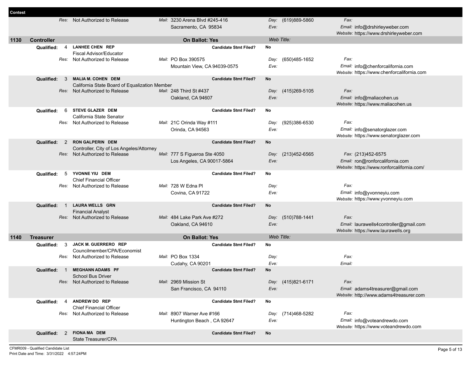| <b>Contest</b> |                   |                |                                               |                                |                              |            |                    |                                            |
|----------------|-------------------|----------------|-----------------------------------------------|--------------------------------|------------------------------|------------|--------------------|--------------------------------------------|
|                |                   |                | Res: Not Authorized to Release                | Mail: 3230 Arena Blvd #245-416 |                              |            | Day: (619)889-5860 | Fax:                                       |
|                |                   |                |                                               | Sacramento, CA 95834           |                              | Eve:       |                    | Email: info@drshirleyweber.com             |
|                |                   |                |                                               |                                |                              |            |                    | Website: https://www.drshirleyweber.com    |
| 1130           | <b>Controller</b> |                |                                               | <b>On Ballot: Yes</b>          |                              | Web Title: |                    |                                            |
|                | Qualified:        | $\overline{4}$ | <b>LANHEE CHEN REP</b>                        |                                | <b>Candidate Stmt Filed?</b> | No         |                    |                                            |
|                |                   |                | Fiscal Advisor/Educator                       |                                |                              |            |                    |                                            |
|                |                   | Res:           | Not Authorized to Release                     | Mail: PO Box 390575            |                              |            | Day: (650)485-1652 | Fax:                                       |
|                |                   |                |                                               | Mountain View, CA 94039-0575   |                              | Eve:       |                    | Email: info@chenforcalifornia.com          |
|                |                   |                |                                               |                                |                              |            |                    | Website: https://www.chenforcalifornia.com |
|                | Qualified:        | 3              | <b>MALIA M. COHEN DEM</b>                     |                                | <b>Candidate Stmt Filed?</b> | No         |                    |                                            |
|                |                   |                | California State Board of Equalization Member |                                |                              |            |                    |                                            |
|                |                   |                | Res: Not Authorized to Release                | Mail: 248 Third St #437        |                              |            | Day: (415)269-5105 | Fax:                                       |
|                |                   |                |                                               | Oakland, CA 94607              |                              | Eve:       |                    | Email: info@maliacohen.us                  |
|                |                   |                |                                               |                                |                              |            |                    | Website: https://www.maliacohen.us         |
|                | Qualified:        | 6              | STEVE GLAZER DEM                              |                                | <b>Candidate Stmt Filed?</b> | No         |                    |                                            |
|                |                   |                | California State Senator                      |                                |                              |            |                    |                                            |
|                |                   | Res:           | Not Authorized to Release                     | Mail: 21C Orinda Way #111      |                              | Day:       | (925)386-6530      | Fax:                                       |
|                |                   |                |                                               | Orinda, CA 94563               |                              | Eve:       |                    | Email: info@senatorglazer.com              |
|                |                   |                |                                               |                                |                              |            |                    | Website: https://www.senatorglazer.com     |
|                | <b>Qualified:</b> | 2              | <b>RON GALPERIN DEM</b>                       |                                | <b>Candidate Stmt Filed?</b> | <b>No</b>  |                    |                                            |
|                |                   |                | Controller, City of Los Angeles/Attorney      |                                |                              |            |                    |                                            |
|                |                   | Res:           | Not Authorized to Release                     | Mail: 777 S Figueroa Ste 4050  |                              | Day:       | (213)452-6565      | Fax: (213)452-6575                         |
|                |                   |                |                                               | Los Angeles, CA 90017-5864     |                              | Eve:       |                    | Email: ron@ronforcalifornia.com            |
|                | Qualified:        | 5              | YVONNE YIU DEM                                |                                | <b>Candidate Stmt Filed?</b> | No         |                    | Website: https://www.ronforcalifornia.com/ |
|                |                   |                | <b>Chief Financial Officer</b>                |                                |                              |            |                    |                                            |
|                |                   |                | Res: Not Authorized to Release                | Mail: 728 W Edna Pl            |                              | Day:       |                    | Fax:                                       |
|                |                   |                |                                               | Covina, CA 91722               |                              | Eve:       |                    | Email: info@yvonneyiu.com                  |
|                |                   |                |                                               |                                |                              |            |                    | Website: https://www.yvonneyiu.com         |
|                | <b>Qualified:</b> | $\overline{1}$ | <b>LAURA WELLS GRN</b>                        |                                | <b>Candidate Stmt Filed?</b> | No         |                    |                                            |
|                |                   |                | <b>Financial Analyst</b>                      |                                |                              |            |                    |                                            |
|                |                   | Res:           | Not Authorized to Release                     | Mail: 484 Lake Park Ave #272   |                              |            | Day: (510)788-1441 | Fax:                                       |
|                |                   |                |                                               | Oakland, CA 94610              |                              | Eve:       |                    | Email: laurawells4controller@gmail.com     |
|                |                   |                |                                               |                                |                              |            |                    | Website: https://www.laurawells.org        |
| 1140           | <b>Treasurer</b>  |                |                                               | On Ballot: Yes                 |                              | Web Title: |                    |                                            |
|                | Qualified:        | 3              | JACK M. GUERRERO REP                          |                                | <b>Candidate Stmt Filed?</b> | No         |                    |                                            |
|                |                   |                | Councilmember/CPA/Economist                   |                                |                              |            |                    |                                            |
|                |                   |                | Res: Not Authorized to Release                | Mail: PO Box 1334              |                              | Day:       |                    | Fax:                                       |
|                |                   |                |                                               | Cudahy, CA 90201               |                              | Eve:       |                    | Email:                                     |
|                | <b>Qualified:</b> | -1             | <b>MEGHANN ADAMS PF</b>                       |                                | <b>Candidate Stmt Filed?</b> | No         |                    |                                            |
|                |                   |                | <b>School Bus Driver</b>                      |                                |                              |            |                    |                                            |
|                |                   |                | Res: Not Authorized to Release                | Mail: 2969 Mission St          |                              |            | Day: (415)821-6171 | Fax:                                       |
|                |                   |                |                                               | San Francisco, CA 94110        |                              | Eve:       |                    | Email: adams4treasurer@gmail.com           |
|                |                   |                | ANDREW DO REP                                 |                                |                              |            |                    | Website: http://www.adams4treasurer.com    |
|                | Qualified:        | $\overline{4}$ | <b>Chief Financial Officer</b>                |                                | <b>Candidate Stmt Filed?</b> | No         |                    |                                            |
|                |                   |                | Res: Not Authorized to Release                | Mail: 8907 Warner Ave #166     |                              |            | Day: (714)468-5282 | Fax:                                       |
|                |                   |                |                                               | Huntington Beach, CA 92647     |                              | Eve:       |                    | Email: info@voteandrewdo.com               |
|                |                   |                |                                               |                                |                              |            |                    | Website: https://www.voteandrewdo.com      |
|                |                   |                | Qualified: 2 FIONA MA DEM                     |                                | <b>Candidate Stmt Filed?</b> | No         |                    |                                            |
|                |                   |                | State Treasurer/CPA                           |                                |                              |            |                    |                                            |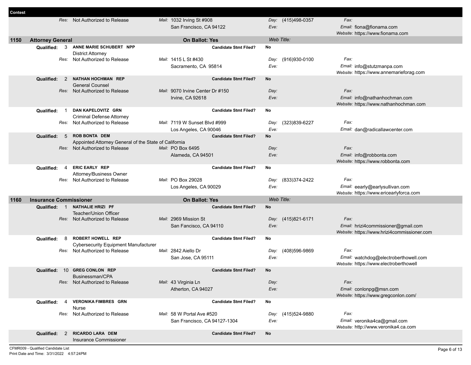| Contest |                               |                                                                               |                                  |                              |            |                    |                                             |
|---------|-------------------------------|-------------------------------------------------------------------------------|----------------------------------|------------------------------|------------|--------------------|---------------------------------------------|
|         |                               | Res: Not Authorized to Release                                                | Mail: 1032 Irving St #908        |                              |            | Day: (415)498-0357 | Fax:                                        |
|         |                               |                                                                               | San Francisco, CA 94122          |                              | Eve:       |                    | Email: fiona@fionama.com                    |
|         |                               |                                                                               |                                  |                              |            |                    | Website: https://www.fionama.com            |
| 1150    | <b>Attorney General</b>       |                                                                               | <b>On Ballot: Yes</b>            |                              | Web Title: |                    |                                             |
|         | Qualified:<br>3               | ANNE MARIE SCHUBERT NPP                                                       |                                  | <b>Candidate Stmt Filed?</b> | No         |                    |                                             |
|         |                               | <b>District Attorney</b>                                                      |                                  |                              |            |                    |                                             |
|         |                               | Res: Not Authorized to Release                                                | Mail: 1415 L St #430             |                              |            | Day: (916)930-0100 | Fax:                                        |
|         |                               |                                                                               | Sacramento, CA 95814             |                              | Eve:       |                    | Email: info@stutzmanpa.com                  |
|         |                               |                                                                               |                                  |                              |            |                    | Website: https://www.annemarieforag.com     |
|         | Qualified:<br>2               | <b>NATHAN HOCHMAN REP</b>                                                     |                                  | <b>Candidate Stmt Filed?</b> | No         |                    |                                             |
|         |                               | <b>General Counsel</b>                                                        |                                  |                              |            |                    |                                             |
|         |                               | Res: Not Authorized to Release                                                | Mail: 9070 Irvine Center Dr #150 |                              | Day:       |                    | Fax:                                        |
|         |                               |                                                                               | Irvine, CA 92618                 |                              | Eve:       |                    | Email: info@nathanhochman.com               |
|         |                               |                                                                               |                                  |                              |            |                    | Website: https://www.nathanhochman.com      |
|         | Qualified:                    | DAN KAPELOVITZ GRN                                                            |                                  | <b>Candidate Stmt Filed?</b> | No         |                    |                                             |
|         |                               | <b>Criminal Defense Attorney</b>                                              |                                  |                              |            |                    | Fax:                                        |
|         |                               | Res: Not Authorized to Release                                                | Mail: 7119 W Sunset Blvd #999    |                              | Day:       | (323)839-6227      |                                             |
|         |                               | <b>ROB BONTA DEM</b>                                                          | Los Angeles, CA 90046            |                              | Eve:       |                    | Email: dan@radicallawcenter.com             |
|         | Qualified:<br>5               | Appointed Attorney General of the State of California                         |                                  | <b>Candidate Stmt Filed?</b> | <b>No</b>  |                    |                                             |
|         |                               | Res: Not Authorized to Release                                                | Mail: PO Box 6495                |                              | Day:       |                    | Fax:                                        |
|         |                               |                                                                               | Alameda, CA 94501                |                              | Eve:       |                    | Email: info@robbonta.com                    |
|         |                               |                                                                               |                                  |                              |            |                    | Website: https://www.robbonta.com           |
|         | Qualified:<br>4               | <b>ERIC EARLY REP</b>                                                         |                                  | <b>Candidate Stmt Filed?</b> | No         |                    |                                             |
|         |                               | Attorney/Business Owner                                                       |                                  |                              |            |                    |                                             |
|         |                               | Res: Not Authorized to Release                                                | Mail: PO Box 29028               |                              |            | Day: (833)374-2422 | Fax:                                        |
|         |                               |                                                                               | Los Angeles, CA 90029            |                              | Eve:       |                    | Email: eearly@earlysullivan.com             |
|         |                               |                                                                               |                                  |                              |            |                    | Website: https://www.ericearlyforca.com     |
| 1160    | <b>Insurance Commissioner</b> |                                                                               | <b>On Ballot: Yes</b>            |                              | Web Title: |                    |                                             |
|         | Qualified: 1                  | <b>NATHALIE HRIZI PF</b>                                                      |                                  | <b>Candidate Stmt Filed?</b> | <b>No</b>  |                    |                                             |
|         |                               | <b>Teacher/Union Officer</b>                                                  |                                  |                              |            |                    |                                             |
|         |                               | Res: Not Authorized to Release                                                | Mail: 2969 Mission St            |                              |            | Day: (415)821-6171 | Fax:                                        |
|         |                               |                                                                               | San Fancisco, CA 94110           |                              | Eve:       |                    | Email: hrizi4commissioner@gmail.com         |
|         |                               |                                                                               |                                  |                              |            |                    | Website: https://www.hrizi4commissioner.com |
|         | Qualified:<br>8               | <b>ROBERT HOWELL REP</b>                                                      |                                  | <b>Candidate Stmt Filed?</b> | No         |                    |                                             |
|         |                               | <b>Cybersecurity Equipment Manufacturer</b><br>Res: Not Authorized to Release | Mail: 2842 Aiello Dr             |                              | Day:       | (408)596-9869      | Fax:                                        |
|         |                               |                                                                               | San Jose, CA 95111               |                              | Eve:       |                    | Email: watchdog@electroberthowell.com       |
|         |                               |                                                                               |                                  |                              |            |                    | Website: https://www.electroberthowell      |
|         | Qualified:                    | 10 GREG CONLON REP                                                            |                                  | <b>Candidate Stmt Filed?</b> | <b>No</b>  |                    |                                             |
|         |                               | Businessman/CPA                                                               |                                  |                              |            |                    |                                             |
|         |                               | Res: Not Authorized to Release                                                | Mail: 43 Virginia Ln             |                              | Day:       |                    | Fax:                                        |
|         |                               |                                                                               | Atherton, CA 94027               |                              | Eve:       |                    | Email: conlonpg@msn.com                     |
|         |                               |                                                                               |                                  |                              |            |                    | Website: https://www.gregconlon.com/        |
|         | Qualified:<br>$\overline{a}$  | <b>VERONIKA FIMBRES GRN</b>                                                   |                                  | <b>Candidate Stmt Filed?</b> | No         |                    |                                             |
|         |                               | Nurse                                                                         |                                  |                              |            |                    |                                             |
|         |                               | Res: Not Authorized to Release                                                | Mail: 58 W Portal Ave #520       |                              |            | Day: (415)524-9880 | Fax:                                        |
|         |                               |                                                                               | San Francisco, CA 94127-1304     |                              | Eve:       |                    | Email: veronika4ca@gmail.com                |
|         |                               |                                                                               |                                  |                              |            |                    |                                             |
|         |                               |                                                                               |                                  |                              |            |                    | Website: http://www.veronika4.ca.com        |
|         | 2<br>Qualified:               | RICARDO LARA DEM<br>Insurance Commissioner                                    |                                  | <b>Candidate Stmt Filed?</b> | No         |                    |                                             |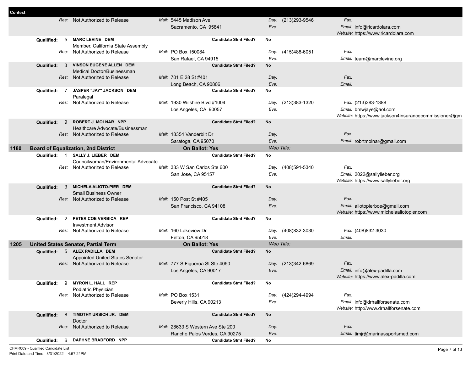| Contest |                              |                                                                     |                                                      |            |                    |                                                       |
|---------|------------------------------|---------------------------------------------------------------------|------------------------------------------------------|------------|--------------------|-------------------------------------------------------|
|         | Res:                         | Not Authorized to Release                                           | Mail: 5445 Madison Ave                               |            | Day: (213)293-9546 | Fax:                                                  |
|         |                              |                                                                     | Sacramento, CA 95841                                 | Eve:       |                    | Email: info@ricardolara.com                           |
|         |                              |                                                                     |                                                      |            |                    | Website: https://www.ricardolara.com                  |
|         | Qualified:<br>5              | <b>MARC LEVINE DEM</b>                                              | <b>Candidate Stmt Filed?</b>                         | No         |                    |                                                       |
|         |                              | Member, California State Assembly<br>Res: Not Authorized to Release | Mail: PO Box 150084                                  |            | Day: (415)488-6051 | Fax:                                                  |
|         |                              |                                                                     |                                                      | Eve:       |                    |                                                       |
|         | Qualified: 3                 | VINSON EUGENE ALLEN DEM                                             | San Rafael, CA 94915<br><b>Candidate Stmt Filed?</b> | <b>No</b>  |                    | Email: team@marclevine.org                            |
|         |                              | Medical Doctor/Businessman                                          |                                                      |            |                    |                                                       |
|         |                              | Res: Not Authorized to Release                                      | Mail: 701 E 28 St #401                               | Day:       |                    | Fax:                                                  |
|         |                              |                                                                     | Long Beach, CA 90806                                 | Eve:       |                    | Email:                                                |
|         | $\overline{7}$<br>Qualified: | JASPER "JAY" JACKSON DEM                                            | <b>Candidate Stmt Filed?</b>                         | No         |                    |                                                       |
|         |                              | Paralegal                                                           |                                                      |            |                    |                                                       |
|         |                              | Res: Not Authorized to Release                                      | Mail: 1930 Wilshire Blvd #1004                       |            | Day: (213)383-1320 | Fax: (213)383-1388                                    |
|         |                              |                                                                     | Los Angeles, CA 90057                                | Eve:       |                    | Email: bmwjaye@aol.com                                |
|         |                              |                                                                     |                                                      |            |                    | Website: https://www.jackson4insurancecommissioner@gm |
|         | Qualified:<br>9              | <b>ROBERT J. MOLNAR NPP</b>                                         | <b>Candidate Stmt Filed?</b>                         | <b>No</b>  |                    |                                                       |
|         |                              | Healthcare Advocate/Businessman<br>Res: Not Authorized to Release   | Mail: 18354 Vanderbilt Dr                            | Day:       |                    | Fax:                                                  |
|         |                              |                                                                     | Saratoga, CA 95070                                   | Eve:       |                    | Email: robrtmolnar@gmail.com                          |
| 1180    |                              | <b>Board of Equalization, 2nd District</b>                          | <b>On Ballot: Yes</b>                                | Web Title: |                    |                                                       |
|         | Qualified: 1                 | SALLY J. LIEBER DEM                                                 | <b>Candidate Stmt Filed?</b>                         | No         |                    |                                                       |
|         |                              | Councilwoman/Environmental Advocate                                 |                                                      |            |                    |                                                       |
|         |                              | Res: Not Authorized to Release                                      | Mail: 333 W San Carlos Ste 600                       | Day:       | (408)591-5340      | Fax:                                                  |
|         |                              |                                                                     | San Jose, CA 95157                                   | Eve:       |                    | Email: 2022@sallylieber.org                           |
|         |                              |                                                                     |                                                      |            |                    | Website: https://www.sallylieber.org                  |
|         | Qualified:<br>$\mathbf{3}$   | MICHELA ALIOTO-PIER DEM                                             | <b>Candidate Stmt Filed?</b>                         | No         |                    |                                                       |
|         |                              | <b>Small Business Owner</b>                                         |                                                      |            |                    |                                                       |
|         |                              | Res: Not Authorized to Release                                      | Mail: 150 Post St #405                               | Day:       |                    | Fax:                                                  |
|         |                              |                                                                     | San Francisco, CA 94108                              | Eve:       |                    | Email: aliotopierboe@gmail.com                        |
|         | $\overline{2}$<br>Qualified: | PETER COE VERBICA REP                                               | <b>Candidate Stmt Filed?</b>                         | <b>No</b>  |                    | Website: https://www.michelaaliotopier.com            |
|         |                              | <b>Investment Advisor</b>                                           |                                                      |            |                    |                                                       |
|         |                              | Res: Not Authorized to Release                                      | Mail: 160 Lakeview Dr                                |            | Day: (408)832-3030 | Fax: (408)832-3030                                    |
|         |                              |                                                                     | Felton, CA 95018                                     | Eve:       |                    | Email:                                                |
| 1205    |                              | <b>United States Senator, Partial Term</b>                          | <b>On Ballot: Yes</b>                                | Web Title: |                    |                                                       |
|         | Qualified:                   | 5 ALEX PADILLA DEM                                                  | <b>Candidate Stmt Filed?</b>                         | No         |                    |                                                       |
|         |                              | Appointed United States Senator                                     |                                                      |            |                    |                                                       |
|         |                              | Res: Not Authorized to Release                                      | Mail: 777 S Figueroa St Ste 4050                     |            | Day: (213)342-6869 | Fax:                                                  |
|         |                              |                                                                     | Los Angeles, CA 90017                                | Eve:       |                    | Email: info@alex-padilla.com                          |
|         |                              |                                                                     |                                                      |            |                    | Website: https://www.alex-padilla.com                 |
|         | Qualified:<br>- 9            | <b>MYRON L. HALL REP</b>                                            | <b>Candidate Stmt Filed?</b>                         | No         |                    |                                                       |
|         | Res:                         | Podiatric Physician<br>Not Authorized to Release                    | Mail: PO Box 1531                                    | Day:       | (424)294-4994      | Fax:                                                  |
|         |                              |                                                                     | Beverly Hills, CA 90213                              | Eve:       |                    | Email: info@drhallforsenate.com                       |
|         |                              |                                                                     |                                                      |            |                    | Website: http://www.drhallforsenate.com               |
|         | 8<br>Qualified:              | TIMOTHY URSICH JR. DEM                                              | <b>Candidate Stmt Filed?</b>                         | No         |                    |                                                       |
|         |                              | Doctor                                                              |                                                      |            |                    |                                                       |
|         |                              | Res: Not Authorized to Release                                      | Mail: 28633 S Western Ave Ste 200                    | Day:       |                    | Fax:                                                  |
|         |                              |                                                                     | Rancho Palos Verdes, CA 90275                        | Eve:       |                    | Email: timjr@marinassportsmed.com                     |
|         | <b>Qualified:</b><br>6       | DAPHNE BRADFORD NPP                                                 | <b>Candidate Stmt Filed?</b>                         | No         |                    |                                                       |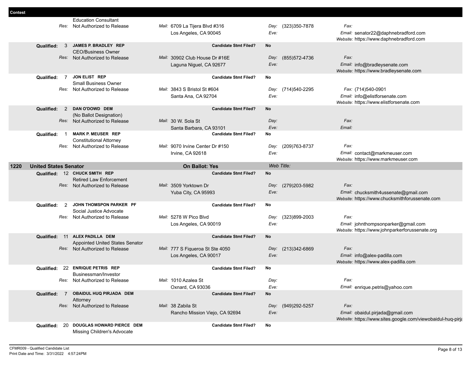|      |                              | <b>Education Consultant</b>                                      |                                  |      |                    |                                                                                |
|------|------------------------------|------------------------------------------------------------------|----------------------------------|------|--------------------|--------------------------------------------------------------------------------|
|      | Res:                         | Not Authorized to Release                                        | Mail: 6709 La Tiiera Blvd #316   | Day: | (323) 350-7878     | Fax:                                                                           |
|      |                              |                                                                  | Los Angeles, CA 90045            | Eve: |                    | Email: senator22@daphnebradford.com<br>Website: https://www.daphnebradford.com |
|      | 3<br><b>Qualified:</b>       | JAMES P. BRADLEY REP                                             | <b>Candidate Stmt Filed?</b>     | No   |                    |                                                                                |
|      |                              | <b>CEO/Business Owner</b>                                        |                                  |      |                    |                                                                                |
|      |                              | Res: Not Authorized to Release                                   | Mail: 30902 Club House Dr #16E   | Day: | (855) 572-4736     | Fax:                                                                           |
|      |                              |                                                                  | Laguna Niguel, CA 92677          | Eve: |                    | Email: info@bradleysenate.com                                                  |
|      |                              | JON ELIST REP                                                    |                                  |      |                    | Website: https://www.bradleysenate.com                                         |
|      | Qualified: 7                 | <b>Small Business Owner</b>                                      | <b>Candidate Stmt Filed?</b>     | No   |                    |                                                                                |
|      |                              | Res: Not Authorized to Release                                   | Mail: 3843 S Bristol St #604     | Day: | (714) 540-2295     | Fax: (714)540-0901                                                             |
|      |                              |                                                                  | Santa Ana, CA 92704              | Eve: |                    | Email: info@elistforsenate.com                                                 |
|      |                              |                                                                  |                                  |      |                    | Website: https://www.elistforsenate.com                                        |
|      | 2<br>Qualified:              | DAN O'DOWD DEM                                                   | <b>Candidate Stmt Filed?</b>     | No   |                    |                                                                                |
|      |                              | (No Ballot Designation)                                          |                                  |      |                    |                                                                                |
|      |                              | Res: Not Authorized to Release                                   | Mail: 30 W. Sola St              | Day: |                    | Fax:                                                                           |
|      |                              |                                                                  | Santa Barbara, CA 93101          | Eve: |                    | Email:                                                                         |
|      | Qualified:                   | <b>MARK P. MEUSER REP</b>                                        | <b>Candidate Stmt Filed?</b>     | No   |                    |                                                                                |
|      |                              | <b>Constitutional Attorney</b><br>Res: Not Authorized to Release | Mail: 9070 Irvine Center Dr #150 | Day: | (209) 763-8737     | Fax:                                                                           |
|      |                              |                                                                  | Irvine, CA 92618                 | Eve: |                    | Email: contact@markmeuser.com                                                  |
|      |                              |                                                                  |                                  |      |                    | Website: https://www.markmeuser.com                                            |
| 1220 | <b>United States Senator</b> |                                                                  | <b>On Ballot: Yes</b>            |      | Web Title:         |                                                                                |
|      |                              | Qualified: 12 CHUCK SMITH REP                                    | <b>Candidate Stmt Filed?</b>     | No   |                    |                                                                                |
|      |                              |                                                                  |                                  |      |                    |                                                                                |
|      |                              | <b>Retired Law Enforcement</b>                                   |                                  |      |                    |                                                                                |
|      |                              | Res: Not Authorized to Release                                   | Mail: 3509 Yorktown Dr           | Day: | (279)203-5982      | Fax:                                                                           |
|      |                              |                                                                  | Yuba City, CA 95993              | Eve: |                    | Email: chucksmith4ussenate@gmail.com                                           |
|      |                              |                                                                  |                                  |      |                    | Website: https://www.chucksmithforussenate.com                                 |
|      | 2<br>Qualified:              | JOHN THOMSPON PARKER PF<br>Social Justice Advocate               | <b>Candidate Stmt Filed?</b>     | No   |                    |                                                                                |
|      |                              | Res: Not Authorized to Release                                   | Mail: 5278 W Pico Blvd           | Day: | (323)899-2003      | Fax:                                                                           |
|      |                              |                                                                  | Los Angeles, CA 90019            | Eve: |                    | Email: johnthompsonparker@gmail.com                                            |
|      |                              |                                                                  |                                  |      |                    | Website: https://www.johnparkerforussenate.org                                 |
|      |                              | Qualified: 11 ALEX PADILLA DEM                                   | <b>Candidate Stmt Filed?</b>     | No   |                    |                                                                                |
|      |                              | Appointed United States Senator                                  |                                  |      |                    |                                                                                |
|      |                              | Res: Not Authorized to Release                                   | Mail: 777 S Figueroa St Ste 4050 | Day: | (213)342-6869      | Fax:                                                                           |
|      |                              |                                                                  | Los Angeles, CA 90017            | Eve: |                    | Email: info@alex-padilla.com                                                   |
|      | Qualified:                   | 22 ENRIQUE PETRIS REP                                            | <b>Candidate Stmt Filed?</b>     | No   |                    | Website: https://www.alex-padilla.com                                          |
|      |                              | Businessman/Investor                                             |                                  |      |                    |                                                                                |
|      |                              | Res: Not Authorized to Release                                   | Mail: 1010 Azalea St             | Day: |                    | Fax:                                                                           |
|      |                              |                                                                  | Oxnard, CA 93036                 | Eve: |                    | Email: enrique.petris@yahoo.com                                                |
|      | Qualified:<br>$\overline{7}$ | OBAIDUL HUQ PIRJADA DEM                                          | <b>Candidate Stmt Filed?</b>     | No   |                    |                                                                                |
|      |                              | Attorney                                                         |                                  |      |                    |                                                                                |
|      |                              | Res: Not Authorized to Release                                   | Mail: 38 Zabila St               |      | Day: (949)292-5257 | Fax:                                                                           |
|      |                              |                                                                  | Rancho Mission Viejo, CA 92694   | Eve: |                    | Email: obaidul.pirjada@gmail.com                                               |
|      | Qualified: 20                | DOUGLAS HOWARD PIERCE DEM                                        | <b>Candidate Stmt Filed?</b>     | No   |                    | Website: https://www.sites.google.com/viewobaidul-huq-pirja                    |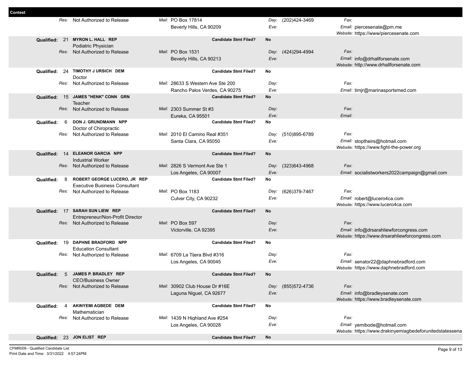| mest |                   |                                      |                                                  |            |                    |                                                          |
|------|-------------------|--------------------------------------|--------------------------------------------------|------------|--------------------|----------------------------------------------------------|
|      |                   | Res: Not Authorized to Release       | Mail: PO Box 17814                               |            | Day: (202)424-3469 | Fax:                                                     |
|      |                   |                                      | Beverly Hills, CA 90209                          | Eve:       |                    | Email: piercesenate@pm.me                                |
|      |                   |                                      |                                                  |            |                    | Website: https://www/piercesenate.com                    |
|      |                   | Qualified: 21 MYRON L. HALL REP      | <b>Candidate Stmt Filed?</b>                     | No         |                    |                                                          |
|      |                   | Podiatric Physician                  |                                                  |            |                    |                                                          |
|      |                   | Res: Not Authorized to Release       | Mail: PO Box 1531                                | Day:       | (424)294-4994      | Fax:                                                     |
|      |                   |                                      | Beverly Hills, CA 90213                          | Eve:       |                    | Email: info@drhallforsenate.com                          |
|      |                   |                                      |                                                  |            |                    | Website: http://www.drhallforsenate.com                  |
|      |                   | Qualified: 24 TIMOTHY J URSICH DEM   | <b>Candidate Stmt Filed?</b>                     | No         |                    |                                                          |
|      |                   | Doctor                               |                                                  |            |                    |                                                          |
|      |                   | Res: Not Authorized to Release       | Mail: 28633 S Western Ave Ste 200                | Day:       |                    | Fax:                                                     |
|      |                   |                                      | Rancho Palos Verdes, CA 90275                    | Eve:       |                    | Email: timjr@marinasportsmed.com                         |
|      |                   | Qualified: 15 JAMES "HENK" CONN GRN  | <b>Candidate Stmt Filed?</b>                     | No         |                    |                                                          |
|      |                   | Teacher                              | Mail: 2303 Summer St #3                          |            |                    | Fax:                                                     |
|      |                   | Res: Not Authorized to Release       |                                                  | Day:       |                    |                                                          |
|      | Qualified:<br>6   | DON J. GRUNDMANN NPP                 | Eureka, CA 95501<br><b>Candidate Stmt Filed?</b> | Eve:<br>No |                    | Email:                                                   |
|      |                   | Doctor of Chiropractic               |                                                  |            |                    |                                                          |
|      |                   | Res: Not Authorized to Release       | Mail: 2010 El Camino Real #351                   | Day:       | (510)895-6789      | Fax:                                                     |
|      |                   |                                      | Santa Clara, CA 95050                            | Eve:       |                    | Email: stoptheirs@hotmail.com                            |
|      |                   |                                      |                                                  |            |                    | Website: https://www.fight-the-power.org                 |
|      |                   | Qualified: 14 ELEANOR GARCIA NPP     | <b>Candidate Stmt Filed?</b>                     | No         |                    |                                                          |
|      |                   | <b>Industrial Worker</b>             |                                                  |            |                    |                                                          |
|      |                   | Res: Not Authorized to Release       | Mail: 2826 S Vermont Ave Ste 1                   | Day:       | (323)643-4968      | Fax:                                                     |
|      |                   |                                      | Los Angeles, CA 90007                            | Eve:       |                    | Email: socialistworkers2022campaign@gmail.com            |
|      | Qualified:<br>- 8 | ROBERT GEORGE LUCERO, JR REP         | <b>Candidate Stmt Filed?</b>                     | No         |                    |                                                          |
|      |                   | <b>Executive Business Consultant</b> |                                                  |            |                    |                                                          |
|      |                   | Res: Not Authorized to Release       | Mail: PO Box 1183                                | Day:       | (626)379-7467      | Fax:                                                     |
|      |                   |                                      | Culver City, CA 90232                            | Eve:       |                    | Email: robert@lucero4ca.com                              |
|      |                   | Qualified: 17 SARAH SUN LIEW REP     | <b>Candidate Stmt Filed?</b>                     |            |                    | Website: https://www.lucero4ca.com                       |
|      |                   | Entrepreneur/Non-Profit Director     |                                                  | No         |                    |                                                          |
|      |                   | Res: Not Authorized to Release       | Mail: PO Box 597                                 | Day:       |                    | Fax:                                                     |
|      |                   |                                      | Victorville, CA 92395                            | Eve:       |                    | Email: info@drsarahliewforcongress.com                   |
|      |                   |                                      |                                                  |            |                    | Website: https://www.drsarahliewforcongress.com          |
|      |                   | Qualified: 19 DAPHNE BRADFORD NPP    | <b>Candidate Stmt Filed?</b>                     | No         |                    |                                                          |
|      |                   | <b>Education Consultant</b>          |                                                  |            |                    |                                                          |
|      |                   | Res: Not Authorized to Release       | Mail: 6709 La Tijera Blvd #316                   | Day:       |                    | Fax:                                                     |
|      |                   |                                      | Los Angeles, CA 90045                            | Eve:       |                    | Email: senator22@daphnebradford.com                      |
|      |                   |                                      |                                                  |            |                    | Website: https://www.daphnebradford.com                  |
|      | 5<br>Qualified:   | JAMES P. BRADLEY REP                 | <b>Candidate Stmt Filed?</b>                     | No         |                    |                                                          |
|      |                   | <b>CEO/Business Owner</b>            |                                                  |            |                    |                                                          |
|      |                   | Res: Not Authorized to Release       | Mail: 30902 Club House Dr #16E                   |            | Day: (855)572-4736 | Fax:                                                     |
|      |                   |                                      | Laguna Niguel, CA 92677                          | Eve:       |                    | Email: info@bradleysenate.com                            |
|      |                   |                                      |                                                  |            |                    | Website: https://www.bradleysenate.com                   |
|      | Qualified:<br>4   | AKINYEMI AGBEDE DEM<br>Mathematician | <b>Candidate Stmt Filed?</b>                     | No         |                    |                                                          |
|      |                   | Res: Not Authorized to Release       | Mail: 1439 N Highland Ave #254                   | Day:       |                    | Fax:                                                     |
|      |                   |                                      | Los Angeles, CA 90028                            | Eve:       |                    | Email: yemibode@hotmail.com                              |
|      |                   |                                      |                                                  |            |                    | Website: https://www.drakinyemiagbedeforunitedstatessena |
|      |                   | Qualified: 23 JON ELIST REP          | <b>Candidate Stmt Filed?</b>                     | No         |                    |                                                          |
|      |                   |                                      |                                                  |            |                    |                                                          |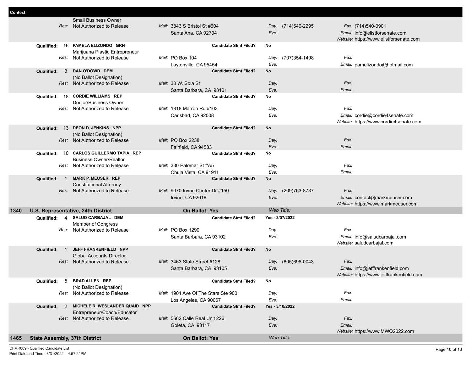| 1465 | <b>State Assembly, 37th District</b> |                                                                  | <b>On Ballot: Yes</b>                                            | Web Title:                    |                                                                                       |
|------|--------------------------------------|------------------------------------------------------------------|------------------------------------------------------------------|-------------------------------|---------------------------------------------------------------------------------------|
|      |                                      |                                                                  | Goleta, CA 93117                                                 | Eve:                          | Email:<br>Website: https://www.MWQ2022.com                                            |
|      |                                      | Entrepreneur/Coach/Educator<br>Res: Not Authorized to Release    | Mail: 5662 Calle Real Unit 226                                   | Day:                          | Fax:                                                                                  |
|      | Qualified:<br>$\mathcal{P}$          | MICHELE R. WESLANDER QUAID NPP                                   | Los Angeles, CA 90067<br><b>Candidate Stmt Filed?</b>            | Yes - 3/10/2022               |                                                                                       |
|      |                                      | Res: Not Authorized to Release                                   | Mail: 1901 Ave Of The Stars Ste 900                              | Day:<br>Eve:                  | Fax:<br>Email:                                                                        |
|      | Qualified:<br>-5                     | <b>BRAD ALLEN REP</b><br>(No Ballot Designation)                 | <b>Candidate Stmt Filed?</b>                                     | No                            |                                                                                       |
|      |                                      | Res: Not Authorized to Release                                   | Mail: 3463 State Street #128<br>Santa Barbara, CA 93105          | (805)696-0043<br>Day:<br>Eve: | Fax:<br>Email: info@jefffrankenfield.com<br>Website: https://www.jefffrankenfield.com |
|      | Qualified:<br>$\overline{1}$         | JEFF FRANKENFIELD NPP<br><b>Global Accounts Director</b>         | <b>Candidate Stmt Filed?</b>                                     | No                            |                                                                                       |
|      |                                      |                                                                  | Santa Barbara, CA 93102                                          | Eve:                          | Email: info@saludcarbajal.com<br>Website: saludcarbajal.com                           |
|      |                                      | Member of Congress<br>Res: Not Authorized to Release             | Mail: PO Box 1290                                                | Day:                          | Fax:                                                                                  |
|      | Qualified:                           | 4 SALUD CARBAJAL DEM                                             | <b>Candidate Stmt Filed?</b>                                     | Yes - 3/07/2022               |                                                                                       |
| 1340 |                                      | U.S. Representative, 24th District                               | <b>On Ballot: Yes</b>                                            | Web Title:                    | Website: https://www.markmeuser.com                                                   |
|      |                                      |                                                                  | Irvine, CA 92618                                                 | Day:<br>Eve:                  | Email: contact@markmeuser.com                                                         |
|      | Qualified:<br>$\overline{1}$         | <b>Constitutional Attorney</b><br>Res: Not Authorized to Release | <b>Candidate Stmt Filed?</b><br>Mail: 9070 Irvine Center Dr #150 | No<br>(209) 763-8737          | Fax:                                                                                  |
|      |                                      | <b>MARK P. MEUSER REP</b>                                        | Chula Vista, CA 91911                                            | Eve:                          | Email:                                                                                |
|      |                                      | <b>Business Owner/Realtor</b><br>Res: Not Authorized to Release  | Mail: 330 Palomar St #A5                                         | Day:                          | Fax:                                                                                  |
|      | Qualified:                           | 10 CARLOS GUILLERMO TAPIA REP                                    | Fairfield, CA 94533<br><b>Candidate Stmt Filed?</b>              | Eve:<br>No                    | Email:                                                                                |
|      |                                      | Res: Not Authorized to Release                                   | Mail: PO Box 2238                                                | Day:                          | Fax:                                                                                  |
|      |                                      | Qualified: 13 DEON D. JENKINS NPP<br>(No Ballot Designation)     | <b>Candidate Stmt Filed?</b>                                     | No                            |                                                                                       |
|      |                                      |                                                                  | Carlsbad, CA 92008                                               | Eve:                          | Email: cordie@cordie4senate.com<br>Website: https://www.cordie4senate.com             |
|      |                                      | Doctor/Business Owner<br>Res: Not Authorized to Release          | Mail: 1818 Marron Rd #103                                        | Day:                          | Fax:                                                                                  |
|      | Qualified:                           | 18 CORDIE WILLIAMS REP                                           | <b>Candidate Stmt Filed?</b>                                     | No                            |                                                                                       |
|      |                                      | (No Ballot Designation)<br>Res: Not Authorized to Release        | Mail: 30 W. Sola St<br>Santa Barbara, CA 93101                   | Day:<br>Eve:                  | Fax:<br>Email:                                                                        |
|      | Qualified:<br>3                      | DAN O'DOWD DEM                                                   | <b>Candidate Stmt Filed?</b>                                     | No                            |                                                                                       |
|      |                                      | Marijuana Plastic Entrepreneur<br>Res: Not Authorized to Release | Mail: PO Box 104<br>Laytonville, CA 95454                        | (707)354-1498<br>Day:<br>Eve: | Fax:<br>Email: pamelizondo@hotmail.com                                                |
|      |                                      | Qualified: 16 PAMELA ELIZONDO GRN                                | <b>Candidate Stmt Filed?</b>                                     | No                            | Website: https://www.elistforsenate.com                                               |
|      |                                      | Res: Not Authorized to Release                                   | Mail: 3843 S Bristol St #604<br>Santa Ana, CA 92704              | Day: (714)540-2295<br>Eve:    | Fax: (714)540-0901<br>Email: info@elistforsenate.com                                  |
|      |                                      | <b>Small Business Owner</b>                                      |                                                                  |                               |                                                                                       |

CFMR009 - Qualified Candidate List Print Date and Time: 3/31/2022 4:57:24PM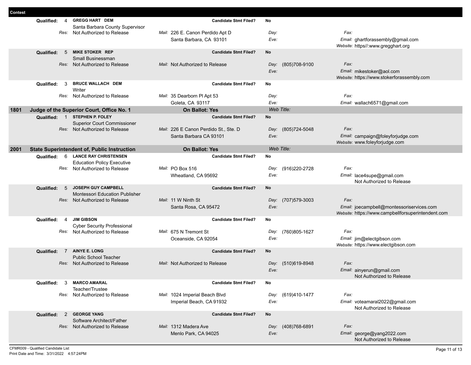| <b>Contest</b> |                                     |                                                                      |                                       |                       |                                                                         |
|----------------|-------------------------------------|----------------------------------------------------------------------|---------------------------------------|-----------------------|-------------------------------------------------------------------------|
|                | Qualified:<br>4                     | <b>GREGG HART DEM</b>                                                | <b>Candidate Stmt Filed?</b>          | No                    |                                                                         |
|                |                                     | Santa Barbara County Supervisor                                      |                                       |                       |                                                                         |
|                | Res:                                | Not Authorized to Release                                            | Mail: 226 E. Canon Perdido Apt D      | Day:                  | Fax:                                                                    |
|                |                                     |                                                                      | Santa Barbara, CA 93101               | Eve:                  | Email: ghartforassembly@gmail.com<br>Website: https//:www.gregghart.org |
|                | Qualified:<br>-5                    | <b>MIKE STOKER REP</b>                                               | <b>Candidate Stmt Filed?</b>          | No                    |                                                                         |
|                |                                     | Small Businessman                                                    |                                       |                       |                                                                         |
|                |                                     | Res: Not Authorized to Release                                       | Mail: Not Authorized to Release       | (805)708-9100<br>Day: | Fax:                                                                    |
|                |                                     |                                                                      |                                       | Eve:                  | Email: mikestoker@aol.com                                               |
|                |                                     |                                                                      |                                       |                       | Website: https://www.stokerforassembly.com                              |
|                | 3<br>Qualified:                     | <b>BRUCE WALLACH DEM</b>                                             | <b>Candidate Stmt Filed?</b>          | No                    |                                                                         |
|                |                                     | Writer                                                               |                                       |                       | Fax:                                                                    |
|                | Res:                                | Not Authorized to Release                                            | Mail: 35 Dearborn Pl Apt 53           | Day:<br>Eve:          |                                                                         |
|                |                                     |                                                                      | Goleta, CA 93117                      | Web Title:            | Email: wallach6571@gmail.com                                            |
| 1801           |                                     | Judge of the Superior Court, Office No. 1<br><b>STEPHEN P. FOLEY</b> | <b>On Ballot: Yes</b>                 |                       |                                                                         |
|                | $\overline{1}$<br><b>Qualified:</b> | <b>Superior Court Commissioner</b>                                   | <b>Candidate Stmt Filed?</b>          | No                    |                                                                         |
|                |                                     | Res: Not Authorized to Release                                       | Mail: 226 E Canon Perdido St., Ste. D | Day: (805)724-5048    | Fax:                                                                    |
|                |                                     |                                                                      | Santa Barbara CA 93101                | Eve:                  | Email: campaign@foleyforjudge.com                                       |
|                |                                     |                                                                      |                                       |                       | Website: www.foleyforjudge.com                                          |
| 2001           |                                     | <b>State Superintendent of, Public Instruction</b>                   | <b>On Ballot: Yes</b>                 | Web Title:            |                                                                         |
|                | 6<br>Qualified:                     | <b>LANCE RAY CHRISTENSEN</b>                                         | <b>Candidate Stmt Filed?</b>          | No                    |                                                                         |
|                |                                     | <b>Education Policy Executive</b>                                    |                                       |                       |                                                                         |
|                | Res:                                | Not Authorized to Release                                            | Mail: PO Box 516                      | (916)220-2728<br>Day: | Fax:                                                                    |
|                |                                     |                                                                      | Wheatland, CA 95692                   | Eve:                  | Email: lace4supe@gmail.com                                              |
|                |                                     |                                                                      |                                       |                       | Not Authorized to Release                                               |
|                | 5<br>Qualified:                     | <b>JOSEPH GUY CAMPBELL</b><br><b>Montessori Education Publisher</b>  | <b>Candidate Stmt Filed?</b>          | No                    |                                                                         |
|                |                                     | Res: Not Authorized to Release                                       | Mail: 11 W Ninth St                   | (707)579-3003<br>Day: | Fax:                                                                    |
|                |                                     |                                                                      | Santa Rosa, CA 95472                  | Eve:                  | Email: joecampbell@montessoriservices.com                               |
|                |                                     |                                                                      |                                       |                       | Website: https://www.campbellforsuperintendent.com                      |
|                | Qualified:<br>$\overline{4}$        | <b>JIM GIBSON</b>                                                    | <b>Candidate Stmt Filed?</b>          | No                    |                                                                         |
|                |                                     | <b>Cyber Security Professional</b>                                   |                                       |                       |                                                                         |
|                | Res:                                | Not Authorized to Release                                            | Mail: 675 N Tremont St                | (760)805-1627<br>Day: | Fax:                                                                    |
|                |                                     |                                                                      | Oceanside, CA 92054                   | Eve:                  | Email: jim@electgibson.com                                              |
|                | $\overline{7}$                      | <b>AINYE E. LONG</b>                                                 | <b>Candidate Stmt Filed?</b>          | No                    | Website: https://www.electgibson.com                                    |
|                | Qualified:                          | <b>Public School Teacher</b>                                         |                                       |                       |                                                                         |
|                |                                     | Res: Not Authorized to Release                                       | Mail: Not Authorized to Release       | (510)619-8948<br>Day: | Fax:                                                                    |
|                |                                     |                                                                      |                                       | Eve:                  | Email: ainyerun@gmail.com                                               |
|                |                                     |                                                                      |                                       |                       | Not Authorized to Release                                               |
|                | Qualified:                          | 3 MARCO AMARAL                                                       | <b>Candidate Stmt Filed?</b>          | No                    |                                                                         |
|                |                                     | Teacher/Trustee                                                      |                                       |                       |                                                                         |
|                |                                     | Res: Not Authorized to Release                                       | Mail: 1024 Imperial Beach Blvd        | Day: (619)410-1477    | Fax:                                                                    |
|                |                                     |                                                                      | Imperial Beach, CA 91932              | Eve:                  | Email: voteamaral2022@gmail.com                                         |
|                |                                     | <b>GEORGE YANG</b>                                                   |                                       |                       | Not Authorized to Release                                               |
|                | Qualified:<br>2                     | Software Architect/Father                                            | <b>Candidate Stmt Filed?</b>          | No                    |                                                                         |
|                |                                     | Res: Not Authorized to Release                                       | Mail: 1312 Madera Ave                 | Day: (408)768-6891    | Fax:                                                                    |
|                |                                     |                                                                      | Menlo Park, CA 94025                  | Eve:                  | Email: george@yang2022.com                                              |
|                |                                     |                                                                      |                                       |                       | Not Authorized to Release                                               |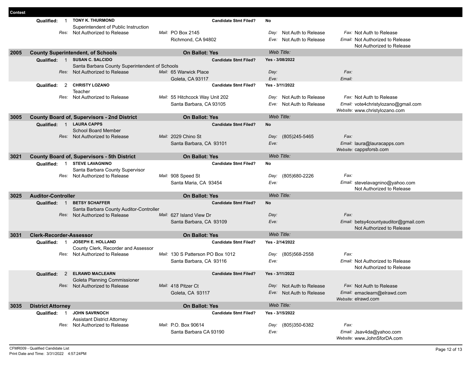| Contest |                                          |                                                    |                                   |                                                 |                          |                                         |  |
|---------|------------------------------------------|----------------------------------------------------|-----------------------------------|-------------------------------------------------|--------------------------|-----------------------------------------|--|
|         | $\overline{1}$<br>Qualified:             | <b>TONY K. THURMOND</b>                            |                                   | <b>Candidate Stmt Filed?</b><br>No              |                          |                                         |  |
|         |                                          | Superintendent of Public Instruction               |                                   |                                                 |                          |                                         |  |
|         |                                          | Res: Not Authorized to Release                     | Mail: PO Box 2145                 |                                                 | Day: Not Auth to Release | Fax: Not Auth to Release                |  |
|         |                                          |                                                    | Richmond, CA 94802                |                                                 | Eve: Not Auth to Release | <i>Email:</i> Not Authorized to Release |  |
|         |                                          |                                                    |                                   |                                                 |                          | Not Authorized to Release               |  |
| 2005    | <b>County Superintendent, of Schools</b> |                                                    | <b>On Ballot: Yes</b>             | Web Title:                                      |                          |                                         |  |
|         | Qualified: 1 SUSAN C. SALCIDO            |                                                    |                                   | Yes - 3/08/2022<br><b>Candidate Stmt Filed?</b> |                          |                                         |  |
|         |                                          | Santa Barbara County Superintendent of Schools     |                                   |                                                 |                          |                                         |  |
|         |                                          | Res: Not Authorized to Release                     | Mail: 65 Warwick Place            | Day:                                            | Fax:                     |                                         |  |
|         |                                          |                                                    | Goleta, CA 93117                  | Eve:                                            | Email:                   |                                         |  |
|         | 2<br>Qualified:                          | <b>CHRISTY LOZANO</b>                              |                                   | <b>Candidate Stmt Filed?</b><br>Yes - 3/11/2022 |                          |                                         |  |
|         |                                          | Teacher                                            |                                   |                                                 |                          |                                         |  |
|         |                                          | Res: Not Authorized to Release                     | Mail: 55 Hitchcock Way Unit 202   | Day:                                            | Not Auth to Release      | Fax: Not Auth to Release                |  |
|         |                                          |                                                    | Santa Barbara, CA 93105           | Eve:                                            | Not Auth to Release      | Email: vote4christylozano@gmail.com     |  |
|         |                                          |                                                    |                                   |                                                 |                          | Website: www.christylozano.com          |  |
| 3005    |                                          | <b>County Board of, Supervisors - 2nd District</b> | <b>On Ballot: Yes</b>             | Web Title:                                      |                          |                                         |  |
|         | Qualified: 1                             | <b>LAURA CAPPS</b>                                 |                                   | <b>No</b><br><b>Candidate Stmt Filed?</b>       |                          |                                         |  |
|         |                                          | <b>School Board Member</b>                         |                                   |                                                 |                          |                                         |  |
|         |                                          | Res: Not Authorized to Release                     | Mail: 2029 Chino St               | Day:                                            | Fax:<br>(805)245-5465    |                                         |  |
|         |                                          |                                                    | Santa Barbara, CA 93101           | Eve:                                            |                          | Email: laura@lauracapps.com             |  |
|         |                                          |                                                    |                                   |                                                 |                          | Website: cappsforsb.com                 |  |
| 3021    |                                          | <b>County Board of, Supervisors - 5th District</b> | <b>On Ballot: Yes</b>             | Web Title:                                      |                          |                                         |  |
|         | Qualified: 1                             | <b>STEVE LAVAGNINO</b>                             |                                   | No<br><b>Candidate Stmt Filed?</b>              |                          |                                         |  |
|         |                                          | Santa Barbara County Supervisor                    |                                   |                                                 |                          |                                         |  |
|         |                                          | Res: Not Authorized to Release                     | Mail: 908 Speed St                | Day:                                            | Fax:<br>(805)680-2226    |                                         |  |
|         |                                          |                                                    | Santa Maria, CA 93454             | Eve:                                            |                          | Email: stevelavagnino@yahoo.com         |  |
|         |                                          |                                                    |                                   |                                                 |                          | Not Authorized to Release               |  |
| 3025    | <b>Auditor-Controller</b>                |                                                    | <b>On Ballot: Yes</b>             | Web Title:                                      |                          |                                         |  |
|         | Qualified:<br>$\overline{1}$             | <b>BETSY SCHAFFER</b>                              |                                   | <b>No</b><br><b>Candidate Stmt Filed?</b>       |                          |                                         |  |
|         |                                          | Santa Barbara County Auditor-Controller            |                                   |                                                 |                          |                                         |  |
|         |                                          | Res: Not Authorized to Release                     | Mail: 627 Island View Dr          | Day:                                            | Fax:                     |                                         |  |
|         |                                          |                                                    | Santa Barbara, CA 93109           | Eve:                                            |                          | Email: betsy4countyauditor@gmail.com    |  |
|         |                                          |                                                    |                                   |                                                 |                          | Not Authorized to Release               |  |
| 3031    | <b>Clerk-Recorder-Assessor</b>           |                                                    | <b>On Ballot: Yes</b>             | Web Title:                                      |                          |                                         |  |
|         | Qualified:<br>$\overline{1}$             | <b>JOSEPH E. HOLLAND</b>                           |                                   | <b>Candidate Stmt Filed?</b><br>Yes - 2/14/2022 |                          |                                         |  |
|         |                                          | County Clerk, Recorder and Assessor                |                                   |                                                 |                          |                                         |  |
|         |                                          | Res: Not Authorized to Release                     | Mail: 130 S Patterson PO Box 1012 | Day:                                            | (805)568-2558<br>Fax:    |                                         |  |
|         |                                          |                                                    | Santa Barbara, CA 93116           | Eve:                                            |                          | Email: Not Authorized to Release        |  |
|         |                                          |                                                    |                                   |                                                 |                          | Not Authorized to Release               |  |
|         | 2<br>Qualified:                          | <b>ELRAWD MACLEARN</b>                             |                                   | Yes - 3/11/2022<br><b>Candidate Stmt Filed?</b> |                          |                                         |  |
|         |                                          | Goleta Planning Commissioner                       |                                   |                                                 |                          |                                         |  |
|         |                                          | Res: Not Authorized to Release                     | Mail: 418 Pitzer Ct               |                                                 | Day: Not Auth to Release | Fax: Not Auth to Release                |  |
|         |                                          |                                                    | Goleta, CA 93117                  |                                                 | Eve: Not Auth to Release | Email: emaclearn@elrawd.com             |  |
|         |                                          |                                                    |                                   |                                                 |                          | Website: elrawd.com                     |  |
|         |                                          |                                                    | On Ballot: Yes                    | Web Title:                                      |                          |                                         |  |
| 3035    | <b>District Attorney</b>                 |                                                    |                                   |                                                 |                          |                                         |  |
|         | Qualified: 1                             | <b>JOHN SAVRNOCH</b>                               |                                   | <b>Candidate Stmt Filed?</b><br>Yes - 3/15/2022 |                          |                                         |  |
|         |                                          | <b>Assistant District Attorney</b>                 |                                   |                                                 |                          |                                         |  |
|         |                                          | Res: Not Authorized to Release                     | Mail: P.O. Box 90614              | Day:                                            | Fax:<br>(805)350-6382    |                                         |  |
|         |                                          |                                                    | Santa Barbara CA 93190            | Eve:                                            |                          | Email: Jsav4da@yahoo.com                |  |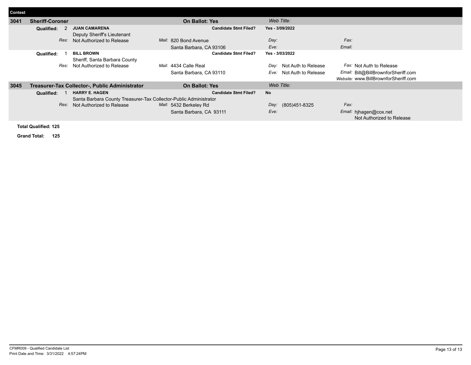| Contest                     |                        |                                                                   |                              |                          |                                      |  |  |
|-----------------------------|------------------------|-------------------------------------------------------------------|------------------------------|--------------------------|--------------------------------------|--|--|
| 3041                        | <b>Sheriff-Coroner</b> |                                                                   | <b>On Ballot: Yes</b>        | Web Title:               |                                      |  |  |
|                             | Qualified:             | <b>JUAN CAMARENA</b>                                              | <b>Candidate Stmt Filed?</b> | Yes - 3/09/2022          |                                      |  |  |
|                             |                        | Deputy Sheriff's Lieutenant                                       |                              |                          |                                      |  |  |
|                             | Res:                   | Not Authorized to Release                                         | Mail: 820 Bond Avenue        | Day:                     | Fax:                                 |  |  |
|                             |                        |                                                                   | Santa Barbara, CA 93106      | Eve:                     | Email:                               |  |  |
|                             | Qualified:             | <b>BILL BROWN</b>                                                 | <b>Candidate Stmt Filed?</b> | Yes - 3/03/2022          |                                      |  |  |
|                             |                        | Sheriff, Santa Barbara County                                     |                              |                          |                                      |  |  |
|                             | Res:                   | Not Authorized to Release                                         | Mail: 4434 Calle Real        | Day: Not Auth to Release | Fax: Not Auth to Release             |  |  |
|                             |                        |                                                                   | Santa Barbara, CA 93110      | Eve: Not Auth to Release | Email: Bill@BillBrownforSheriff.com  |  |  |
|                             |                        |                                                                   |                              |                          | Website: www.BillBrownforSheriff.com |  |  |
| 3045                        |                        | Treasurer-Tax Collector-, Public Administrator                    | <b>On Ballot: Yes</b>        | Web Title:               |                                      |  |  |
|                             | Qualified:             | <b>HARRY E. HAGEN</b>                                             | <b>Candidate Stmt Filed?</b> | <b>No</b>                |                                      |  |  |
|                             |                        | Santa Barbara County Treasurer-Tax Collector-Public Administrator |                              |                          |                                      |  |  |
|                             | Res:                   | Not Authorized to Release                                         | Mail: 5432 Berkeley Rd       | Day: (805)451-8325       | Fax:                                 |  |  |
|                             |                        |                                                                   | Santa Barbara, CA 93111      | Eve:                     | Email: hjhagen@cox.net               |  |  |
|                             |                        |                                                                   |                              |                          | Not Authorized to Release            |  |  |
| <b>Total Qualified: 125</b> |                        |                                                                   |                              |                          |                                      |  |  |

**Grand Total: 125**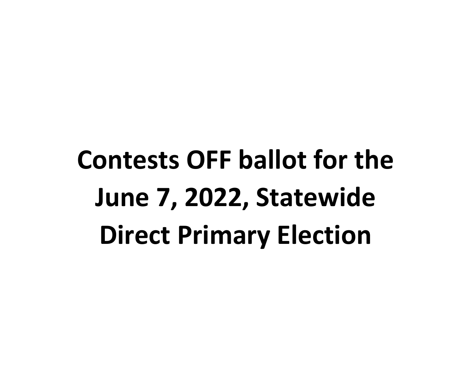**Contests OFF ballot for the June 7, 2022, Statewide Direct Primary Election**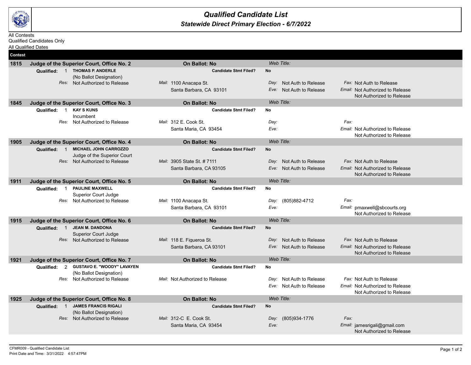

#### *Statewide Direct Primary Election - 6/7/2022 Qualified Candidate List*

#### All Contests

Qualified Candidates Only All Qualified Dates

| <b>Contest</b> |                                                               |                                                      |                                                            |                                                               |
|----------------|---------------------------------------------------------------|------------------------------------------------------|------------------------------------------------------------|---------------------------------------------------------------|
| 1815           | Judge of the Superior Court, Office No. 2                     | <b>On Ballot: No</b>                                 | Web Title:                                                 |                                                               |
|                | Qualified: 1 THOMAS P. ANDERLE                                | <b>Candidate Stmt Filed?</b>                         | <b>No</b>                                                  |                                                               |
|                | (No Ballot Designation)                                       |                                                      |                                                            |                                                               |
|                | Res: Not Authorized to Release                                | Mail: 1100 Anacapa St.<br>Santa Barbara, CA 93101    | Not Auth to Release<br>Dav:<br>Not Auth to Release<br>Eve: | Fax: Not Auth to Release<br>Email: Not Authorized to Release  |
|                |                                                               |                                                      |                                                            | Not Authorized to Release                                     |
| 1845           | Judge of the Superior Court, Office No. 3                     | <b>On Ballot: No</b>                                 | Web Title:                                                 |                                                               |
|                | <b>KAY S KUNS</b><br>Qualified:<br>$\overline{1}$             | <b>Candidate Stmt Filed?</b>                         | No                                                         |                                                               |
|                | Incumbent                                                     | Mail: 312 E. Cook St.                                |                                                            | Fax:                                                          |
|                | Res: Not Authorized to Release                                | Santa Maria, CA 93454                                | Day:<br>Eve:                                               | Email: Not Authorized to Release                              |
|                |                                                               |                                                      |                                                            | Not Authorized to Release                                     |
| 1905           | Judge of the Superior Court, Office No. 4                     | On Ballot: No                                        | Web Title:                                                 |                                                               |
|                | <b>MICHAEL JOHN CARROZZO</b><br>Qualified: 1                  | <b>Candidate Stmt Filed?</b>                         | <b>No</b>                                                  |                                                               |
|                | Judge of the Superior Court                                   |                                                      |                                                            |                                                               |
|                | Res: Not Authorized to Release                                | Mail: 3905 State St. # 7111                          | Day: Not Auth to Release                                   | Fax: Not Auth to Release                                      |
|                |                                                               | Santa Barbara, CA 93105                              | Eve: Not Auth to Release                                   | Email: Not Authorized to Release<br>Not Authorized to Release |
| 1911           | Judge of the Superior Court, Office No. 5                     | On Ballot: No                                        | Web Title:                                                 |                                                               |
|                | <b>PAULINE MAXWELL</b><br>Qualified:<br>$\overline{1}$        | <b>Candidate Stmt Filed?</b>                         | No                                                         |                                                               |
|                | Superior Court Judge                                          |                                                      |                                                            |                                                               |
|                | Res: Not Authorized to Release                                | Mail: 1100 Anacapa St.                               | Day:<br>(805)882-4712                                      | Fax:                                                          |
|                |                                                               | Santa Barbara, CA 93101                              | Eve:                                                       | Email: pmaxwell@sbcourts.org<br>Not Authorized to Release     |
| 1915           | Judge of the Superior Court, Office No. 6                     | <b>On Ballot: No</b>                                 | Web Title:                                                 |                                                               |
|                | Qualified: 1 JEAN M. DANDONA                                  | <b>Candidate Stmt Filed?</b>                         | <b>No</b>                                                  |                                                               |
|                | <b>Superior Court Judge</b><br>Res: Not Authorized to Release |                                                      | Day: Not Auth to Release                                   | Fax: Not Auth to Release                                      |
|                |                                                               | Mail: 118 E. Figueroa St.<br>Santa Barbara, CA 93101 | Not Auth to Release<br>Eve:                                | Email: Not Authorized to Release                              |
|                |                                                               |                                                      |                                                            | Not Authorized to Release                                     |
| 1921           | Judge of the Superior Court, Office No. 7                     | <b>On Ballot: No</b>                                 | Web Title:                                                 |                                                               |
|                | Qualified: 2 GUSTAVO E. "WOODY" LAVAYEN                       | <b>Candidate Stmt Filed?</b>                         | <b>No</b>                                                  |                                                               |
|                | (No Ballot Designation)                                       |                                                      |                                                            |                                                               |
|                | Not Authorized to Release<br>Res:                             | Mail: Not Authorized to Release                      | Not Auth to Release<br>Day:                                | Fax: Not Auth to Release                                      |
|                |                                                               |                                                      | Not Auth to Release<br>Eve:                                | Email: Not Authorized to Release<br>Not Authorized to Release |
| 1925           | Judge of the Superior Court, Office No. 8                     | <b>On Ballot: No</b>                                 | Web Title:                                                 |                                                               |
|                | Qualified: 1 JAMES FRANCIS RIGALI                             | <b>Candidate Stmt Filed?</b>                         | <b>No</b>                                                  |                                                               |
|                | (No Ballot Designation)                                       |                                                      |                                                            |                                                               |
|                | Res: Not Authorized to Release                                | Mail: 312-C E. Cook St.                              | (805)934-1776<br>Day:                                      | Fax:                                                          |
|                |                                                               | Santa Maria, CA 93454                                | Eve:                                                       | Email: jamesrigali@gmail.com<br>Not Authorized to Release     |
|                |                                                               |                                                      |                                                            |                                                               |